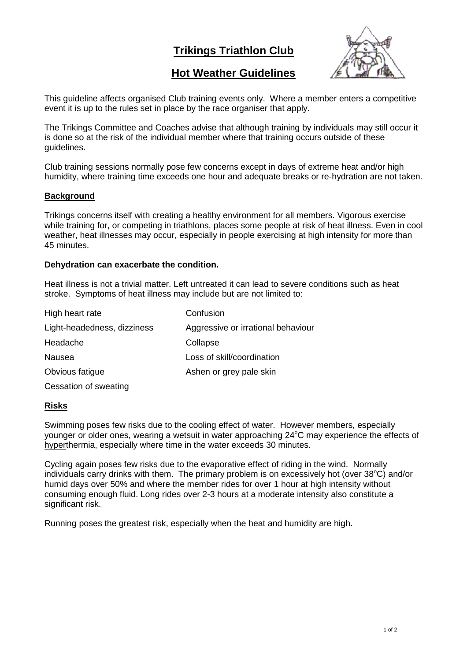# **Trikings Triathlon Club**



## **Hot Weather Guidelines**

This guideline affects organised Club training events only. Where a member enters a competitive event it is up to the rules set in place by the race organiser that apply.

The Trikings Committee and Coaches advise that although training by individuals may still occur it is done so at the risk of the individual member where that training occurs outside of these guidelines.

Club training sessions normally pose few concerns except in days of extreme heat and/or high humidity, where training time exceeds one hour and adequate breaks or re-hydration are not taken.

#### **Background**

Trikings concerns itself with creating a healthy environment for all members. Vigorous exercise while training for, or competing in triathlons, places some people at risk of heat illness. Even in cool weather, heat illnesses may occur, especially in people exercising at high intensity for more than 45 minutes.

#### **Dehydration can exacerbate the condition.**

Heat illness is not a trivial matter. Left untreated it can lead to severe conditions such as heat stroke. Symptoms of heat illness may include but are not limited to:

| High heart rate             | Confusion                          |
|-----------------------------|------------------------------------|
| Light-headedness, dizziness | Aggressive or irrational behaviour |
| Headache                    | Collapse                           |
| Nausea                      | Loss of skill/coordination         |
| Obvious fatigue             | Ashen or grey pale skin            |
| Cessation of sweating       |                                    |

#### **Risks**

Swimming poses few risks due to the cooling effect of water. However members, especially younger or older ones, wearing a wetsuit in water approaching  $24^{\circ}$ C may experience the effects of hyperthermia, especially where time in the water exceeds 30 minutes.

Cycling again poses few risks due to the evaporative effect of riding in the wind. Normally individuals carry drinks with them. The primary problem is on excessively hot (over  $38^{\circ}$ C) and/or humid days over 50% and where the member rides for over 1 hour at high intensity without consuming enough fluid. Long rides over 2-3 hours at a moderate intensity also constitute a significant risk.

Running poses the greatest risk, especially when the heat and humidity are high.